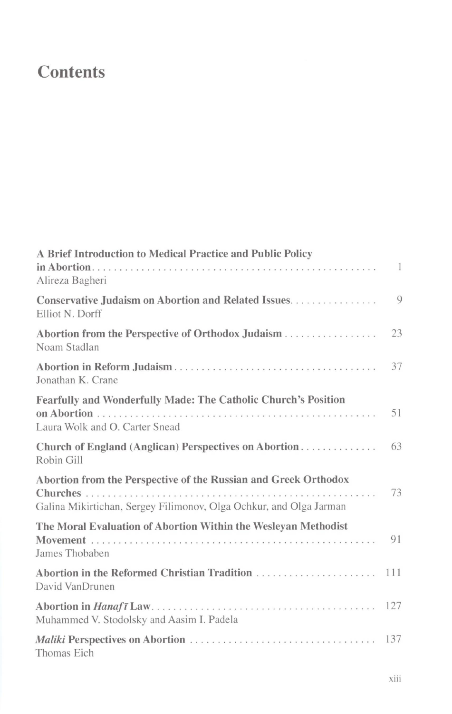## **Contents**

| A Brief Introduction to Medical Practice and Public Policy                    |              |
|-------------------------------------------------------------------------------|--------------|
| Alireza Bagheri                                                               | $\mathbf{1}$ |
| <b>Conservative Judaism on Abortion and Related Issues</b><br>Elliot N. Dorff | 9            |
| Abortion from the Perspective of Orthodox Judaism<br>Noam Stadlan             | 23           |
| Jonathan K. Crane                                                             | 37           |
| Fearfully and Wonderfully Made: The Catholic Church's Position                |              |
| Laura Wolk and O. Carter Snead                                                | 51           |
| Church of England (Anglican) Perspectives on Abortion<br>Robin Gill           | 63           |
| Abortion from the Perspective of the Russian and Greek Orthodox               |              |
| Galina Mikirtichan, Sergey Filimonov, Olga Ochkur, and Olga Jarman            | 73           |
| The Moral Evaluation of Abortion Within the Wesleyan Methodist                |              |
| James Thobaben                                                                | 91           |
| David VanDrunen                                                               | 111          |
| Muhammed V. Stodolsky and Aasim I. Padela                                     | 127          |
| Thomas Eich                                                                   | 137          |